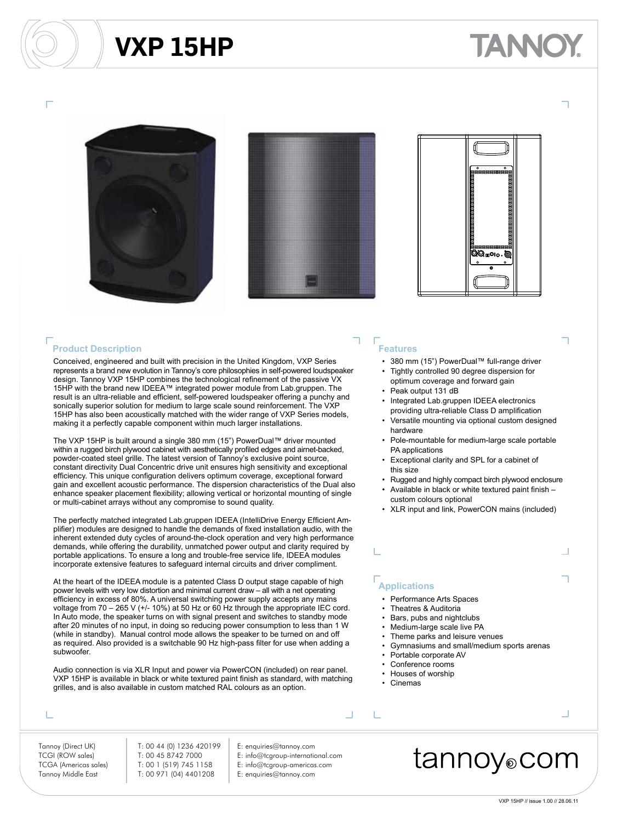### **VXP 15HP**

# ANNO







#### **Product Description**

Conceived, engineered and built with precision in the United Kingdom, VXP Series represents a brand new evolution in Tannoy's core philosophies in self-powered loudspeaker design. Tannoy VXP 15HP combines the technological refinement of the passive VX 15HP with the brand new IDEEA™ integrated power module from Lab.gruppen. The result is an ultra-reliable and efficient, self-powered loudspeaker offering a punchy and sonically superior solution for medium to large scale sound reinforcement. The VXF 15HP has also been acoustically matched with the wider range of VXP Series models, making it a perfectly capable component within much larger installations.

The VXP 15HP is built around a single 380 mm (15") PowerDual™ driver mounted within a rugged birch plywood cabinet with aesthetically profiled edges and airnet-backed, powder-coated steel grille. The latest version of Tannoy's exclusive point source, constant directivity Dual Concentric drive unit ensures high sensitivity and exceptional efficiency. This unique configuration delivers optimum coverage, exceptional forward gain and excellent acoustic performance. The dispersion characteristics of the Dual also enhance speaker placement flexibility; allowing vertical or horizontal mounting of single or multi-cabinet arrays without any compromise to sound quality.

The perfectly matched integrated Lab.gruppen IDEEA (IntelliDrive Energy Efficient Amplifier) modules are designed to handle the demands of fixed installation audio, with the inherent extended duty cycles of around-the-clock operation and very high performance demands, while offering the durability, unmatched power output and clarity required by portable applications. To ensure a long and trouble-free service life, IDEEA modules incorporate extensive features to safeguard internal circuits and driver compliment.

At the heart of the IDEEA module is a patented Class D output stage capable of high power levels with very low distortion and minimal current draw – all with a net operating efficiency in excess of 80%. A universal switching power supply accepts any mains voltage from 70 – 265 V (+/- 10%) at 50 Hz or 60 Hz through the appropriate IEC cord. In Auto mode, the speaker turns on with signal present and switches to standby mode after 20 minutes of no input, in doing so reducing power consumption to less than 1 W (while in standby). Manual control mode allows the speaker to be turned on and off as required. Also provided is a switchable 90 Hz high-pass filter for use when adding a subwoofer.

Audio connection is via XLR Input and power via PowerCON (included) on rear panel. VXP 15HP is available in black or white textured paint finish as standard, with matching grilles, and is also available in custom matched RAL colours as an option.

#### т

Tannoy (Direct UK) T: 00 44 (0) 1236 420199 E: enquiries@tannoy.com TCGA (Americas sales) T: 00 1 (519) 745 1158 E: info@tcgroup-americas.com Tannoy Middle East T: 00 971 (04) 4401208 E: enquiries@tannoy.com

- TCGI (ROW sales) T: 00 45 8742 7000 E: info@tcgroup-international.com
	-

### **Features**

- 380 mm (15") PowerDual™ full-range driver
- Tightly controlled 90 degree dispersion for optimum coverage and forward gain
- Peak output 131 dB
- Integrated Lab.gruppen IDEEA electronics providing ultra-reliable Class D amplification
- Versatile mounting via optional custom designed hardware
- Pole-mountable for medium-large scale portable PA applications
- Exceptional clarity and SPL for a cabinet of this size
- Rugged and highly compact birch plywood enclosure
- Available in black or white textured paint finish custom colours optional
- XLR input and link, PowerCON mains (included)

### **Applications**

- Performance Arts Spaces
- Theatres & Auditoria
- Bars, pubs and nightclubs
- Medium-large scale live PA
- Theme parks and leisure venues
- Gymnasiums and small/medium sports arenas
- Portable corporate AV
- Conference rooms • Houses of worship
- 
- Cinemas

L

### tannoy⊚com

 $\Box$